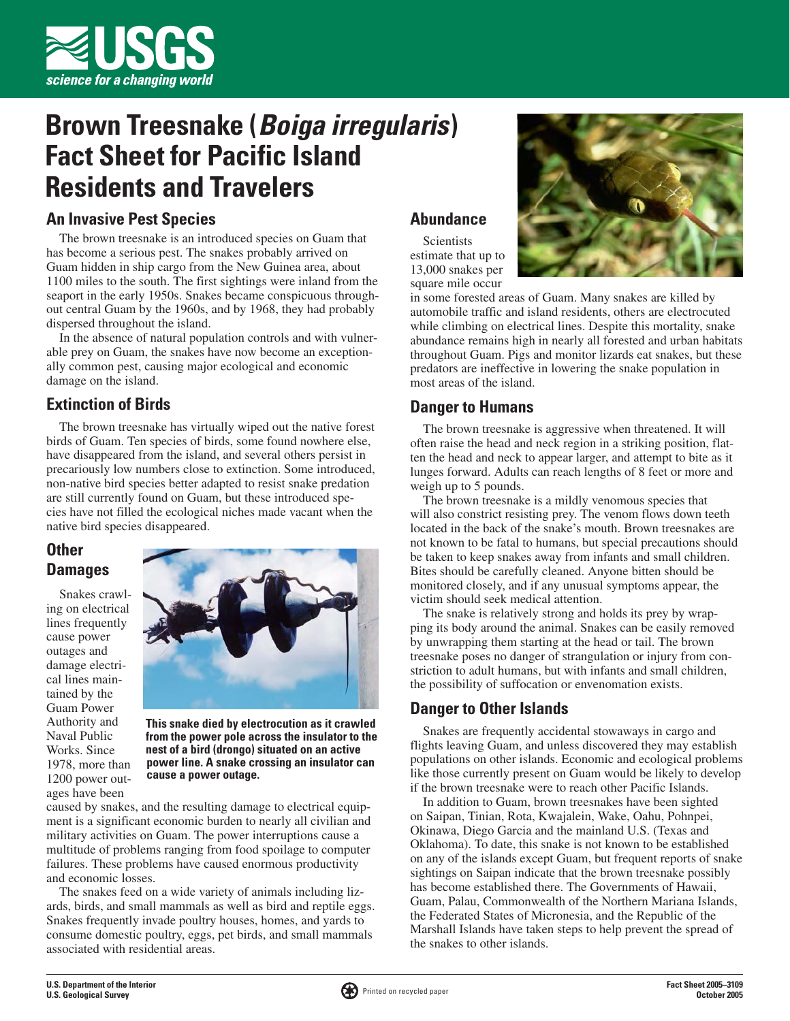

# **Brown Treesnake (***Boiga irregularis***) Fact Sheet for Pacific Island Residents and Travelers**

#### **An Invasive Pest Species**

The brown treesnake is an introduced species on Guam that has become a serious pest. The snakes probably arrived on Guam hidden in ship cargo from the New Guinea area, about 1100 miles to the south. The first sightings were inland from the seaport in the early 1950s. Snakes became conspicuous throughout central Guam by the 1960s, and by 1968, they had probably dispersed throughout the island.

In the absence of natural population controls and with vulnerable prey on Guam, the snakes have now become an exceptionally common pest, causing major ecological and economic damage on the island.

### **Extinction of Birds**

The brown treesnake has virtually wiped out the native forest birds of Guam. Ten species of birds, some found nowhere else, have disappeared from the island, and several others persist in precariously low numbers close to extinction. Some introduced, non-native bird species better adapted to resist snake predation are still currently found on Guam, but these introduced species have not filled the ecological niches made vacant when the native bird species disappeared.

# **Other Damages**

Snakes crawling on electrical lines frequently cause power outages and damage electrical lines maintained by the Guam Power Authority and Naval Public Works. Since 1978, more than 1200 power outages have been



**This snake died by electrocution as it crawled from the power pole across the insulator to the nest of a bird (drongo) situated on an active power line. A snake crossing an insulator can cause a power outage.**

caused by snakes, and the resulting damage to electrical equipment is a significant economic burden to nearly all civilian and military activities on Guam. The power interruptions cause a multitude of problems ranging from food spoilage to computer failures. These problems have caused enormous productivity and economic losses.

The snakes feed on a wide variety of animals including lizards, birds, and small mammals as well as bird and reptile eggs. Snakes frequently invade poultry houses, homes, and yards to consume domestic poultry, eggs, pet birds, and small mammals associated with residential areas.

#### **Abundance**

**Scientists** estimate that up to 13,000 snakes per square mile occur



in some forested areas of Guam. Many snakes are killed by automobile traffic and island residents, others are electrocuted while climbing on electrical lines. Despite this mortality, snake abundance remains high in nearly all forested and urban habitats throughout Guam. Pigs and monitor lizards eat snakes, but these predators are ineffective in lowering the snake population in most areas of the island.

#### **Danger to Humans**

The brown treesnake is aggressive when threatened. It will often raise the head and neck region in a striking position, flatten the head and neck to appear larger, and attempt to bite as it lunges forward. Adults can reach lengths of 8 feet or more and weigh up to 5 pounds.

The brown treesnake is a mildly venomous species that will also constrict resisting prey. The venom flows down teeth located in the back of the snake's mouth. Brown treesnakes are not known to be fatal to humans, but special precautions should be taken to keep snakes away from infants and small children. Bites should be carefully cleaned. Anyone bitten should be monitored closely, and if any unusual symptoms appear, the victim should seek medical attention.

The snake is relatively strong and holds its prey by wrapping its body around the animal. Snakes can be easily removed by unwrapping them starting at the head or tail. The brown treesnake poses no danger of strangulation or injury from constriction to adult humans, but with infants and small children, the possibility of suffocation or envenomation exists.

#### **Danger to Other Islands**

Snakes are frequently accidental stowaways in cargo and flights leaving Guam, and unless discovered they may establish populations on other islands. Economic and ecological problems like those currently present on Guam would be likely to develop if the brown treesnake were to reach other Pacific Islands.

In addition to Guam, brown treesnakes have been sighted on Saipan, Tinian, Rota, Kwajalein, Wake, Oahu, Pohnpei, Okinawa, Diego Garcia and the mainland U.S. (Texas and Oklahoma). To date, this snake is not known to be established on any of the islands except Guam, but frequent reports of snake sightings on Saipan indicate that the brown treesnake possibly has become established there. The Governments of Hawaii, Guam, Palau, Commonwealth of the Northern Mariana Islands, the Federated States of Micronesia, and the Republic of the Marshall Islands have taken steps to help prevent the spread of the snakes to other islands.